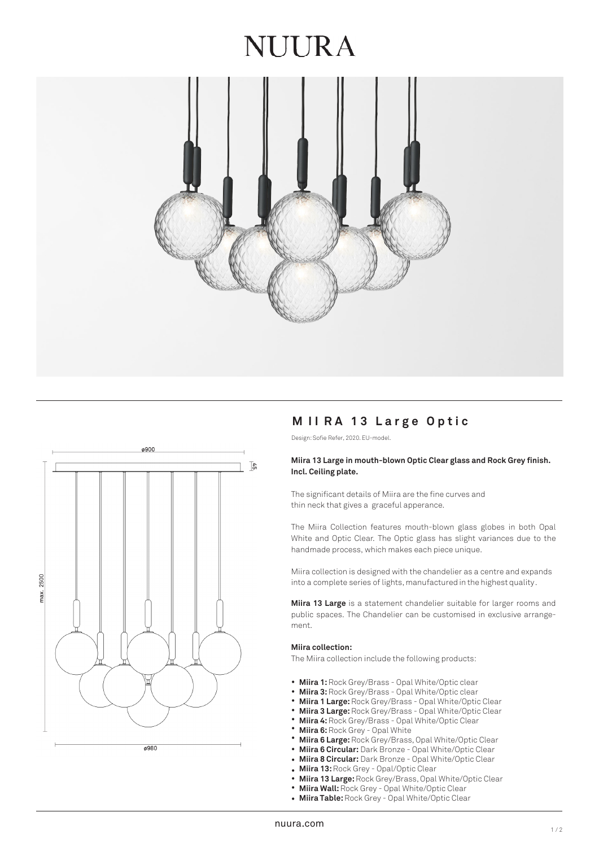## NUIRA





### **M I I RA 1 3 Larg e Optic**

Design: Sofie Refer, 2020. EU-model.

#### **Miira 13 Large in mouth-blown Optic Clear glass and Rock Grey finish. Incl. Ceiling plate.**

The significant details of Miira are the fine curves and thin neck that gives a graceful apperance.

The Miira Collection features mouth-blown glass globes in both Opal White and Optic Clear. The Optic glass has slight variances due to the handmade process, which makes each piece unique.

Miira collection is designed with the chandelier as a centre and expands into a complete series of lights, manufactured in the highest quality.

**Miira 13 Large** is a statement chandelier suitable for larger rooms and public spaces. The Chandelier can be customised in exclusive arrangement.

#### **Miira collection:**

The Miira collection include the following products:

- Miira 1: Rock Grey/Brass Opal White/Optic clear
- **Miira 3:** Rock Grey/Brass Opal White/Optic clear •
- **Miira 1 Large:** Rock Grey/Brass Opal White/Optic Clear •
- **Miira 3 Large:** Rock Grey/Brass Opal White/Optic Clear •
- **Miira 4:** Rock Grey/Brass Opal White/Optic Clear •
- **Miira 6:** Rock Grey Opal White •
- **Miira 6 Large:** Rock Grey/Brass, Opal White/Optic Clear •
- **Miira 6 Circular:** Dark Bronze Opal White/Optic Clear •
- **Miira 8 Circular:** Dark Bronze Opal White/Optic Clear •
- **Miira 13:** Rock Grey Opal/Optic Clear
- Miira 13: Rock Grey Opal/Optic Clear<br>• Miira 13 **Large:** Rock Grey/Brass, Opal White/Optic Clear
- **Miira Wall:** Rock Grey Opal White/Optic Clear •
- **Miira Table:** Rock Grey Opal White/Optic Clear •